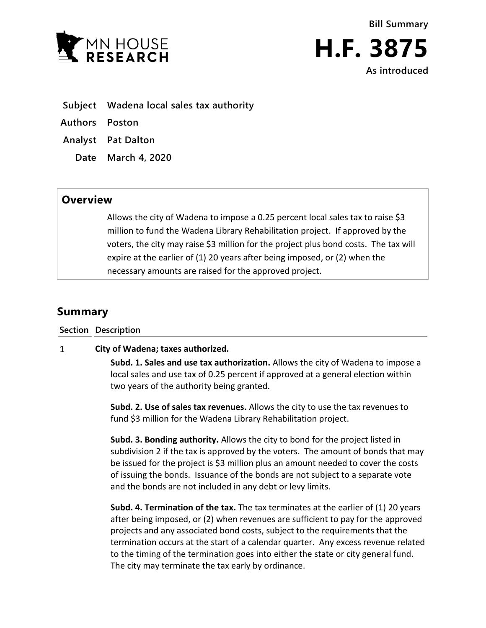



- **Subject Wadena local sales tax authority**
- **Authors Poston**
- **Analyst Pat Dalton**
	- **Date March 4, 2020**

## **Overview**

Allows the city of Wadena to impose a 0.25 percent local sales tax to raise \$3 million to fund the Wadena Library Rehabilitation project. If approved by the voters, the city may raise \$3 million for the project plus bond costs. The tax will expire at the earlier of (1) 20 years after being imposed, or (2) when the necessary amounts are raised for the approved project.

## **Summary**

## **Section Description**

## $\mathbf{1}$ **City of Wadena; taxes authorized.**

**Subd. 1. Sales and use tax authorization.** Allows the city of Wadena to impose a local sales and use tax of 0.25 percent if approved at a general election within two years of the authority being granted.

**Subd. 2. Use of sales tax revenues.** Allows the city to use the tax revenues to fund \$3 million for the Wadena Library Rehabilitation project.

**Subd. 3. Bonding authority.** Allows the city to bond for the project listed in subdivision 2 if the tax is approved by the voters. The amount of bonds that may be issued for the project is \$3 million plus an amount needed to cover the costs of issuing the bonds. Issuance of the bonds are not subject to a separate vote and the bonds are not included in any debt or levy limits.

**Subd. 4. Termination of the tax.** The tax terminates at the earlier of (1) 20 years after being imposed, or (2) when revenues are sufficient to pay for the approved projects and any associated bond costs, subject to the requirements that the termination occurs at the start of a calendar quarter. Any excess revenue related to the timing of the termination goes into either the state or city general fund. The city may terminate the tax early by ordinance.